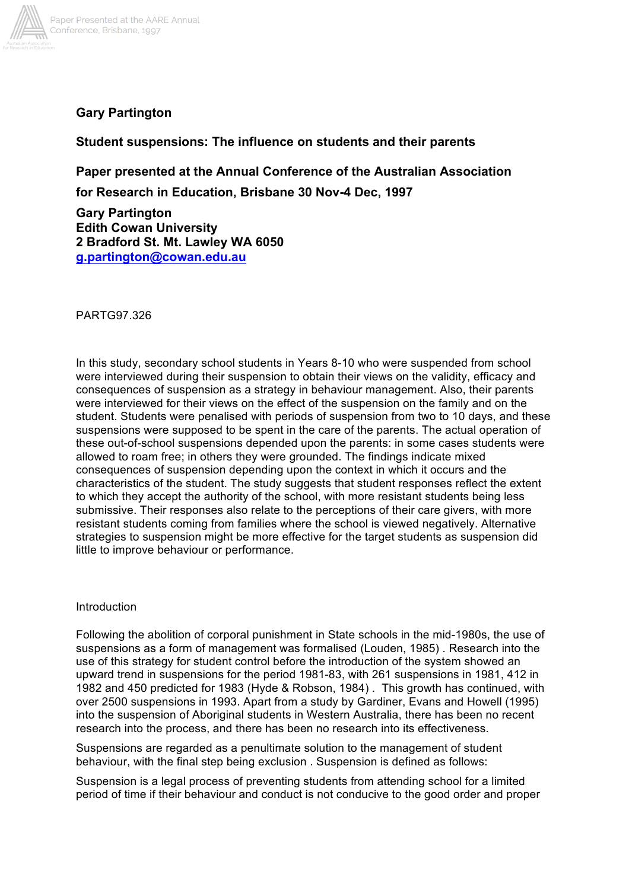

# **Gary Partington**

## **Student suspensions: The influence on students and their parents**

**Paper presented at the Annual Conference of the Australian Association**

**for Research in Education, Brisbane 30 Nov-4 Dec, 1997**

**Gary Partington Edith Cowan University 2 Bradford St. Mt. Lawley WA 6050 g.partington@cowan.edu.au**

PARTG97.326

In this study, secondary school students in Years 8-10 who were suspended from school were interviewed during their suspension to obtain their views on the validity, efficacy and consequences of suspension as a strategy in behaviour management. Also, their parents were interviewed for their views on the effect of the suspension on the family and on the student. Students were penalised with periods of suspension from two to 10 days, and these suspensions were supposed to be spent in the care of the parents. The actual operation of these out-of-school suspensions depended upon the parents: in some cases students were allowed to roam free; in others they were grounded. The findings indicate mixed consequences of suspension depending upon the context in which it occurs and the characteristics of the student. The study suggests that student responses reflect the extent to which they accept the authority of the school, with more resistant students being less submissive. Their responses also relate to the perceptions of their care givers, with more resistant students coming from families where the school is viewed negatively. Alternative strategies to suspension might be more effective for the target students as suspension did little to improve behaviour or performance.

### Introduction

Following the abolition of corporal punishment in State schools in the mid-1980s, the use of suspensions as a form of management was formalised (Louden, 1985) . Research into the use of this strategy for student control before the introduction of the system showed an upward trend in suspensions for the period 1981-83, with 261 suspensions in 1981, 412 in 1982 and 450 predicted for 1983 (Hyde & Robson, 1984) . This growth has continued, with over 2500 suspensions in 1993. Apart from a study by Gardiner, Evans and Howell (1995) into the suspension of Aboriginal students in Western Australia, there has been no recent research into the process, and there has been no research into its effectiveness.

Suspensions are regarded as a penultimate solution to the management of student behaviour, with the final step being exclusion . Suspension is defined as follows:

Suspension is a legal process of preventing students from attending school for a limited period of time if their behaviour and conduct is not conducive to the good order and proper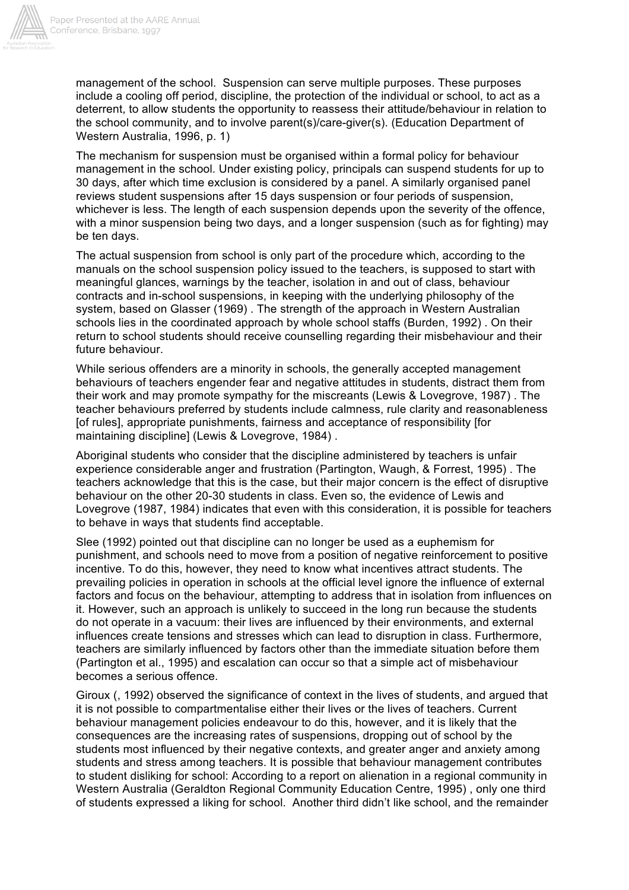

management of the school. Suspension can serve multiple purposes. These purposes include a cooling off period, discipline, the protection of the individual or school, to act as a deterrent, to allow students the opportunity to reassess their attitude/behaviour in relation to the school community, and to involve parent(s)/care-giver(s). (Education Department of Western Australia, 1996, p. 1)

The mechanism for suspension must be organised within a formal policy for behaviour management in the school. Under existing policy, principals can suspend students for up to 30 days, after which time exclusion is considered by a panel. A similarly organised panel reviews student suspensions after 15 days suspension or four periods of suspension, whichever is less. The length of each suspension depends upon the severity of the offence, with a minor suspension being two days, and a longer suspension (such as for fighting) may be ten days.

The actual suspension from school is only part of the procedure which, according to the manuals on the school suspension policy issued to the teachers, is supposed to start with meaningful glances, warnings by the teacher, isolation in and out of class, behaviour contracts and in-school suspensions, in keeping with the underlying philosophy of the system, based on Glasser (1969) . The strength of the approach in Western Australian schools lies in the coordinated approach by whole school staffs (Burden, 1992) . On their return to school students should receive counselling regarding their misbehaviour and their future behaviour.

While serious offenders are a minority in schools, the generally accepted management behaviours of teachers engender fear and negative attitudes in students, distract them from their work and may promote sympathy for the miscreants (Lewis & Lovegrove, 1987) . The teacher behaviours preferred by students include calmness, rule clarity and reasonableness [of rules], appropriate punishments, fairness and acceptance of responsibility [for maintaining discipline] (Lewis & Lovegrove, 1984) .

Aboriginal students who consider that the discipline administered by teachers is unfair experience considerable anger and frustration (Partington, Waugh, & Forrest, 1995) . The teachers acknowledge that this is the case, but their major concern is the effect of disruptive behaviour on the other 20-30 students in class. Even so, the evidence of Lewis and Lovegrove (1987, 1984) indicates that even with this consideration, it is possible for teachers to behave in ways that students find acceptable.

Slee (1992) pointed out that discipline can no longer be used as a euphemism for punishment, and schools need to move from a position of negative reinforcement to positive incentive. To do this, however, they need to know what incentives attract students. The prevailing policies in operation in schools at the official level ignore the influence of external factors and focus on the behaviour, attempting to address that in isolation from influences on it. However, such an approach is unlikely to succeed in the long run because the students do not operate in a vacuum: their lives are influenced by their environments, and external influences create tensions and stresses which can lead to disruption in class. Furthermore, teachers are similarly influenced by factors other than the immediate situation before them (Partington et al., 1995) and escalation can occur so that a simple act of misbehaviour becomes a serious offence.

Giroux (, 1992) observed the significance of context in the lives of students, and argued that it is not possible to compartmentalise either their lives or the lives of teachers. Current behaviour management policies endeavour to do this, however, and it is likely that the consequences are the increasing rates of suspensions, dropping out of school by the students most influenced by their negative contexts, and greater anger and anxiety among students and stress among teachers. It is possible that behaviour management contributes to student disliking for school: According to a report on alienation in a regional community in Western Australia (Geraldton Regional Community Education Centre, 1995) , only one third of students expressed a liking for school. Another third didn't like school, and the remainder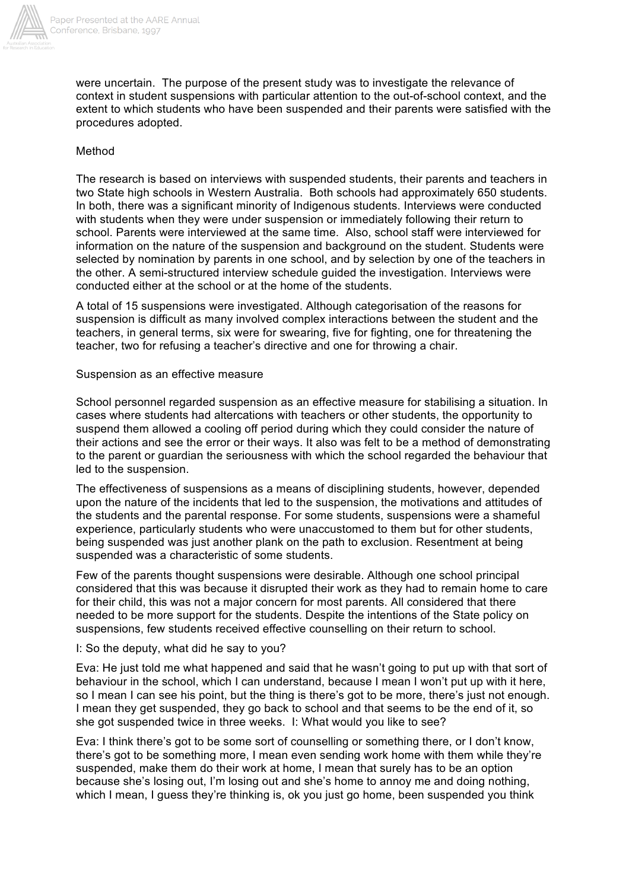

were uncertain. The purpose of the present study was to investigate the relevance of context in student suspensions with particular attention to the out-of-school context, and the extent to which students who have been suspended and their parents were satisfied with the procedures adopted.

## Method

The research is based on interviews with suspended students, their parents and teachers in two State high schools in Western Australia. Both schools had approximately 650 students. In both, there was a significant minority of Indigenous students. Interviews were conducted with students when they were under suspension or immediately following their return to school. Parents were interviewed at the same time. Also, school staff were interviewed for information on the nature of the suspension and background on the student. Students were selected by nomination by parents in one school, and by selection by one of the teachers in the other. A semi-structured interview schedule guided the investigation. Interviews were conducted either at the school or at the home of the students.

A total of 15 suspensions were investigated. Although categorisation of the reasons for suspension is difficult as many involved complex interactions between the student and the teachers, in general terms, six were for swearing, five for fighting, one for threatening the teacher, two for refusing a teacher's directive and one for throwing a chair.

## Suspension as an effective measure

School personnel regarded suspension as an effective measure for stabilising a situation. In cases where students had altercations with teachers or other students, the opportunity to suspend them allowed a cooling off period during which they could consider the nature of their actions and see the error or their ways. It also was felt to be a method of demonstrating to the parent or guardian the seriousness with which the school regarded the behaviour that led to the suspension.

The effectiveness of suspensions as a means of disciplining students, however, depended upon the nature of the incidents that led to the suspension, the motivations and attitudes of the students and the parental response. For some students, suspensions were a shameful experience, particularly students who were unaccustomed to them but for other students, being suspended was just another plank on the path to exclusion. Resentment at being suspended was a characteristic of some students.

Few of the parents thought suspensions were desirable. Although one school principal considered that this was because it disrupted their work as they had to remain home to care for their child, this was not a major concern for most parents. All considered that there needed to be more support for the students. Despite the intentions of the State policy on suspensions, few students received effective counselling on their return to school.

## I: So the deputy, what did he say to you?

Eva: He just told me what happened and said that he wasn't going to put up with that sort of behaviour in the school, which I can understand, because I mean I won't put up with it here, so I mean I can see his point, but the thing is there's got to be more, there's just not enough. I mean they get suspended, they go back to school and that seems to be the end of it, so she got suspended twice in three weeks. I: What would you like to see?

Eva: I think there's got to be some sort of counselling or something there, or I don't know, there's got to be something more, I mean even sending work home with them while they're suspended, make them do their work at home, I mean that surely has to be an option because she's losing out, I'm losing out and she's home to annoy me and doing nothing, which I mean, I quess they're thinking is, ok you just go home, been suspended you think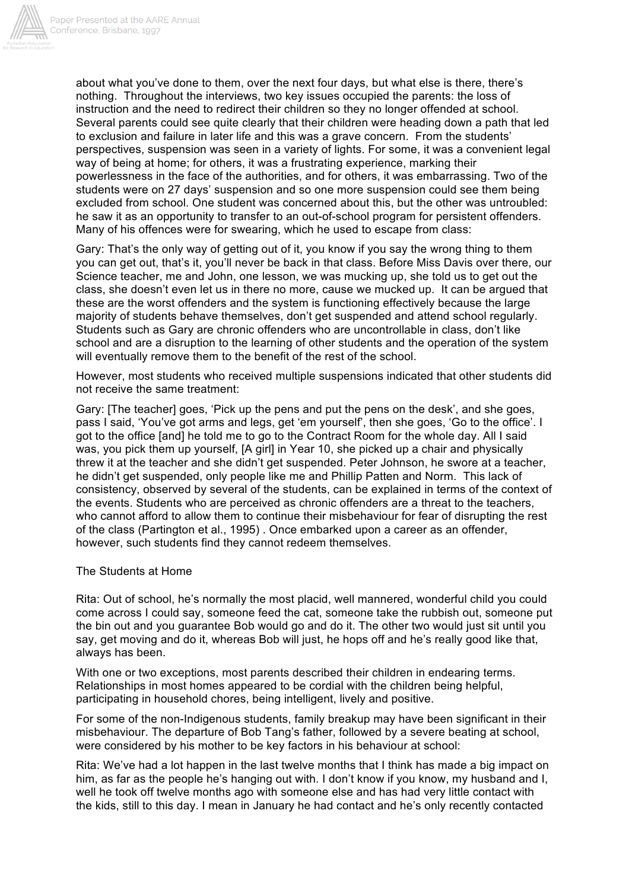

about what you've done to them, over the next four days, but what else is there, there's nothing. Throughout the interviews, two key issues occupied the parents: the loss of instruction and the need to redirect their children so they no longer offended at school. Several parents could see quite clearly that their children were heading down a path that led to exclusion and failure in later life and this was a grave concern. From the students' perspectives, suspension was seen in a variety of lights. For some, it was a convenient legal way of being at home; for others, it was a frustrating experience, marking their powerlessness in the face of the authorities, and for others, it was embarrassing. Two of the students were on 27 days' suspension and so one more suspension could see them being excluded from school. One student was concerned about this, but the other was untroubled: he saw it as an opportunity to transfer to an out-of-school program for persistent offenders. Many of his offences were for swearing, which he used to escape from class:

Gary: That's the only way of getting out of it, you know if you say the wrong thing to them you can get out, that's it, you'll never be back in that class. Before Miss Davis over there, our Science teacher, me and John, one lesson, we was mucking up, she told us to get out the class, she doesn't even let us in there no more, cause we mucked up. It can be argued that these are the worst offenders and the system is functioning effectively because the large majority of students behave themselves, don't get suspended and attend school regularly. Students such as Gary are chronic offenders who are uncontrollable in class, don't like school and are a disruption to the learning of other students and the operation of the system will eventually remove them to the benefit of the rest of the school.

However, most students who received multiple suspensions indicated that other students did not receive the same treatment:

Gary: [The teacher] goes, 'Pick up the pens and put the pens on the desk', and she goes, pass I said, 'You've got arms and legs, get 'em yourself', then she goes, 'Go to the office'. I got to the office [and] he told me to go to the Contract Room for the whole day. All I said was, you pick them up yourself, [A girl] in Year 10, she picked up a chair and physically threw it at the teacher and she didn't get suspended. Peter Johnson, he swore at a teacher, he didn't get suspended, only people like me and Phillip Patten and Norm. This lack of consistency, observed by several of the students, can be explained in terms of the context of the events. Students who are perceived as chronic offenders are a threat to the teachers, who cannot afford to allow them to continue their misbehaviour for fear of disrupting the rest of the class (Partington et al., 1995) . Once embarked upon a career as an offender, however, such students find they cannot redeem themselves.

#### The Students at Home

Rita: Out of school, he's normally the most placid, well mannered, wonderful child you could come across I could say, someone feed the cat, someone take the rubbish out, someone put the bin out and you guarantee Bob would go and do it. The other two would just sit until you say, get moving and do it, whereas Bob will just, he hops off and he's really good like that, always has been.

With one or two exceptions, most parents described their children in endearing terms. Relationships in most homes appeared to be cordial with the children being helpful, participating in household chores, being intelligent, lively and positive.

For some of the non-Indigenous students, family breakup may have been significant in their misbehaviour. The departure of Bob Tang's father, followed by a severe beating at school, were considered by his mother to be key factors in his behaviour at school:

Rita: We've had a lot happen in the last twelve months that I think has made a big impact on him, as far as the people he's hanging out with. I don't know if you know, my husband and I, well he took off twelve months ago with someone else and has had very little contact with the kids, still to this day. I mean in January he had contact and he's only recently contacted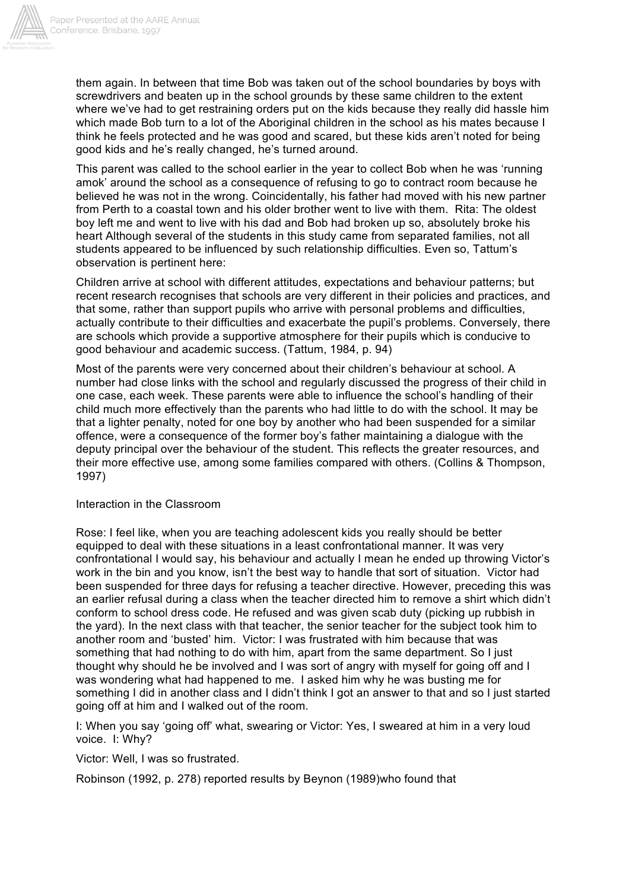

them again. In between that time Bob was taken out of the school boundaries by boys with screwdrivers and beaten up in the school grounds by these same children to the extent where we've had to get restraining orders put on the kids because they really did hassle him which made Bob turn to a lot of the Aboriginal children in the school as his mates because I think he feels protected and he was good and scared, but these kids aren't noted for being good kids and he's really changed, he's turned around.

This parent was called to the school earlier in the year to collect Bob when he was 'running amok' around the school as a consequence of refusing to go to contract room because he believed he was not in the wrong. Coincidentally, his father had moved with his new partner from Perth to a coastal town and his older brother went to live with them. Rita: The oldest boy left me and went to live with his dad and Bob had broken up so, absolutely broke his heart Although several of the students in this study came from separated families, not all students appeared to be influenced by such relationship difficulties. Even so, Tattum's observation is pertinent here:

Children arrive at school with different attitudes, expectations and behaviour patterns; but recent research recognises that schools are very different in their policies and practices, and that some, rather than support pupils who arrive with personal problems and difficulties, actually contribute to their difficulties and exacerbate the pupil's problems. Conversely, there are schools which provide a supportive atmosphere for their pupils which is conducive to good behaviour and academic success. (Tattum, 1984, p. 94)

Most of the parents were very concerned about their children's behaviour at school. A number had close links with the school and regularly discussed the progress of their child in one case, each week. These parents were able to influence the school's handling of their child much more effectively than the parents who had little to do with the school. It may be that a lighter penalty, noted for one boy by another who had been suspended for a similar offence, were a consequence of the former boy's father maintaining a dialogue with the deputy principal over the behaviour of the student. This reflects the greater resources, and their more effective use, among some families compared with others. (Collins & Thompson, 1997)

### Interaction in the Classroom

Rose: I feel like, when you are teaching adolescent kids you really should be better equipped to deal with these situations in a least confrontational manner. It was very confrontational I would say, his behaviour and actually I mean he ended up throwing Victor's work in the bin and you know, isn't the best way to handle that sort of situation. Victor had been suspended for three days for refusing a teacher directive. However, preceding this was an earlier refusal during a class when the teacher directed him to remove a shirt which didn't conform to school dress code. He refused and was given scab duty (picking up rubbish in the yard). In the next class with that teacher, the senior teacher for the subject took him to another room and 'busted' him. Victor: I was frustrated with him because that was something that had nothing to do with him, apart from the same department. So I just thought why should he be involved and I was sort of angry with myself for going off and I was wondering what had happened to me. I asked him why he was busting me for something I did in another class and I didn't think I got an answer to that and so I just started going off at him and I walked out of the room.

I: When you say 'going off' what, swearing or Victor: Yes, I sweared at him in a very loud voice. I: Why?

Victor: Well, I was so frustrated.

Robinson (1992, p. 278) reported results by Beynon (1989)who found that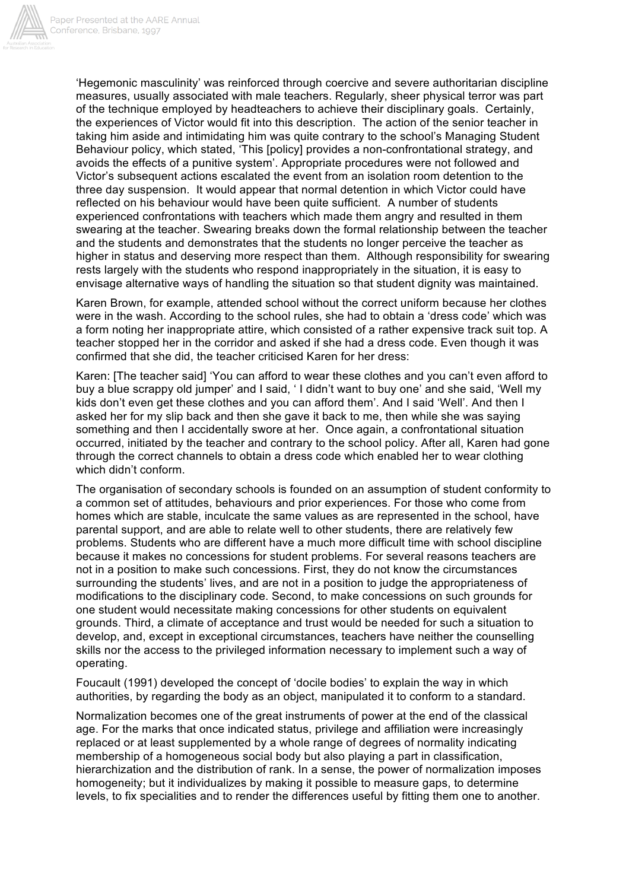

'Hegemonic masculinity' was reinforced through coercive and severe authoritarian discipline measures, usually associated with male teachers. Regularly, sheer physical terror was part of the technique employed by headteachers to achieve their disciplinary goals. Certainly, the experiences of Victor would fit into this description. The action of the senior teacher in taking him aside and intimidating him was quite contrary to the school's Managing Student Behaviour policy, which stated, 'This [policy] provides a non-confrontational strategy, and avoids the effects of a punitive system'. Appropriate procedures were not followed and Victor's subsequent actions escalated the event from an isolation room detention to the three day suspension. It would appear that normal detention in which Victor could have reflected on his behaviour would have been quite sufficient. A number of students experienced confrontations with teachers which made them angry and resulted in them swearing at the teacher. Swearing breaks down the formal relationship between the teacher and the students and demonstrates that the students no longer perceive the teacher as higher in status and deserving more respect than them. Although responsibility for swearing rests largely with the students who respond inappropriately in the situation, it is easy to envisage alternative ways of handling the situation so that student dignity was maintained.

Karen Brown, for example, attended school without the correct uniform because her clothes were in the wash. According to the school rules, she had to obtain a 'dress code' which was a form noting her inappropriate attire, which consisted of a rather expensive track suit top. A teacher stopped her in the corridor and asked if she had a dress code. Even though it was confirmed that she did, the teacher criticised Karen for her dress:

Karen: [The teacher said] 'You can afford to wear these clothes and you can't even afford to buy a blue scrappy old jumper' and I said, ' I didn't want to buy one' and she said, 'Well my kids don't even get these clothes and you can afford them'. And I said 'Well'. And then I asked her for my slip back and then she gave it back to me, then while she was saying something and then I accidentally swore at her. Once again, a confrontational situation occurred, initiated by the teacher and contrary to the school policy. After all, Karen had gone through the correct channels to obtain a dress code which enabled her to wear clothing which didn't conform.

The organisation of secondary schools is founded on an assumption of student conformity to a common set of attitudes, behaviours and prior experiences. For those who come from homes which are stable, inculcate the same values as are represented in the school, have parental support, and are able to relate well to other students, there are relatively few problems. Students who are different have a much more difficult time with school discipline because it makes no concessions for student problems. For several reasons teachers are not in a position to make such concessions. First, they do not know the circumstances surrounding the students' lives, and are not in a position to judge the appropriateness of modifications to the disciplinary code. Second, to make concessions on such grounds for one student would necessitate making concessions for other students on equivalent grounds. Third, a climate of acceptance and trust would be needed for such a situation to develop, and, except in exceptional circumstances, teachers have neither the counselling skills nor the access to the privileged information necessary to implement such a way of operating.

Foucault (1991) developed the concept of 'docile bodies' to explain the way in which authorities, by regarding the body as an object, manipulated it to conform to a standard.

Normalization becomes one of the great instruments of power at the end of the classical age. For the marks that once indicated status, privilege and affiliation were increasingly replaced or at least supplemented by a whole range of degrees of normality indicating membership of a homogeneous social body but also playing a part in classification, hierarchization and the distribution of rank. In a sense, the power of normalization imposes homogeneity; but it individualizes by making it possible to measure gaps, to determine levels, to fix specialities and to render the differences useful by fitting them one to another.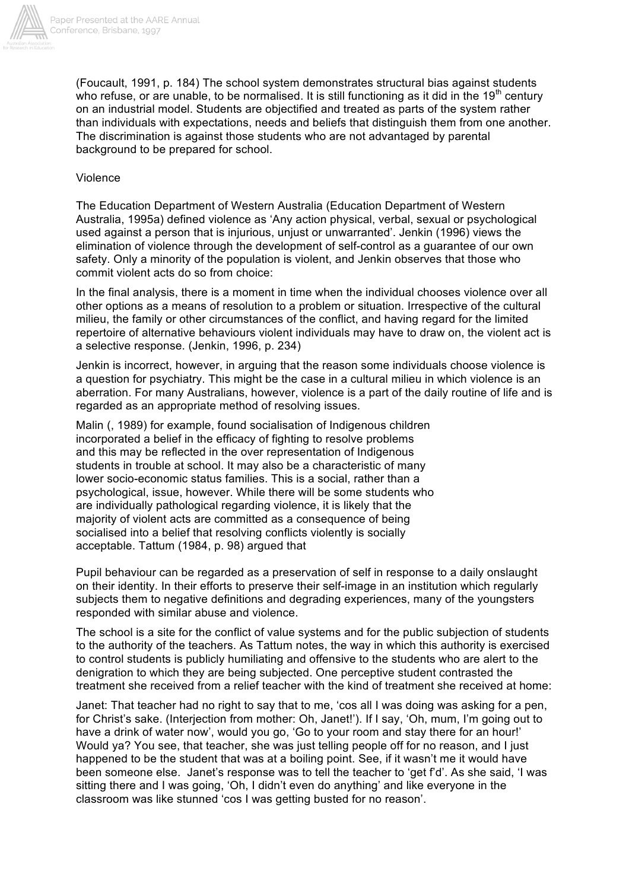

(Foucault, 1991, p. 184) The school system demonstrates structural bias against students who refuse, or are unable, to be normalised. It is still functioning as it did in the 19<sup>th</sup> century on an industrial model. Students are objectified and treated as parts of the system rather than individuals with expectations, needs and beliefs that distinguish them from one another. The discrimination is against those students who are not advantaged by parental background to be prepared for school.

## Violence

The Education Department of Western Australia (Education Department of Western Australia, 1995a) defined violence as 'Any action physical, verbal, sexual or psychological used against a person that is injurious, unjust or unwarranted'. Jenkin (1996) views the elimination of violence through the development of self-control as a guarantee of our own safety. Only a minority of the population is violent, and Jenkin observes that those who commit violent acts do so from choice:

In the final analysis, there is a moment in time when the individual chooses violence over all other options as a means of resolution to a problem or situation. Irrespective of the cultural milieu, the family or other circumstances of the conflict, and having regard for the limited repertoire of alternative behaviours violent individuals may have to draw on, the violent act is a selective response. (Jenkin, 1996, p. 234)

Jenkin is incorrect, however, in arguing that the reason some individuals choose violence is a question for psychiatry. This might be the case in a cultural milieu in which violence is an aberration. For many Australians, however, violence is a part of the daily routine of life and is regarded as an appropriate method of resolving issues.

Malin (, 1989) for example, found socialisation of Indigenous children incorporated a belief in the efficacy of fighting to resolve problems and this may be reflected in the over representation of Indigenous students in trouble at school. It may also be a characteristic of many lower socio-economic status families. This is a social, rather than a psychological, issue, however. While there will be some students who are individually pathological regarding violence, it is likely that the majority of violent acts are committed as a consequence of being socialised into a belief that resolving conflicts violently is socially acceptable. Tattum (1984, p. 98) argued that

Pupil behaviour can be regarded as a preservation of self in response to a daily onslaught on their identity. In their efforts to preserve their self-image in an institution which regularly subjects them to negative definitions and degrading experiences, many of the youngsters responded with similar abuse and violence.

The school is a site for the conflict of value systems and for the public subjection of students to the authority of the teachers. As Tattum notes, the way in which this authority is exercised to control students is publicly humiliating and offensive to the students who are alert to the denigration to which they are being subjected. One perceptive student contrasted the treatment she received from a relief teacher with the kind of treatment she received at home:

Janet: That teacher had no right to say that to me, 'cos all I was doing was asking for a pen, for Christ's sake. (Interjection from mother: Oh, Janet!'). If I say, 'Oh, mum, I'm going out to have a drink of water now', would you go, 'Go to your room and stay there for an hour!' Would ya? You see, that teacher, she was just telling people off for no reason, and I just happened to be the student that was at a boiling point. See, if it wasn't me it would have been someone else. Janet's response was to tell the teacher to 'get f'd'. As she said, 'I was sitting there and I was going, 'Oh, I didn't even do anything' and like everyone in the classroom was like stunned 'cos I was getting busted for no reason'.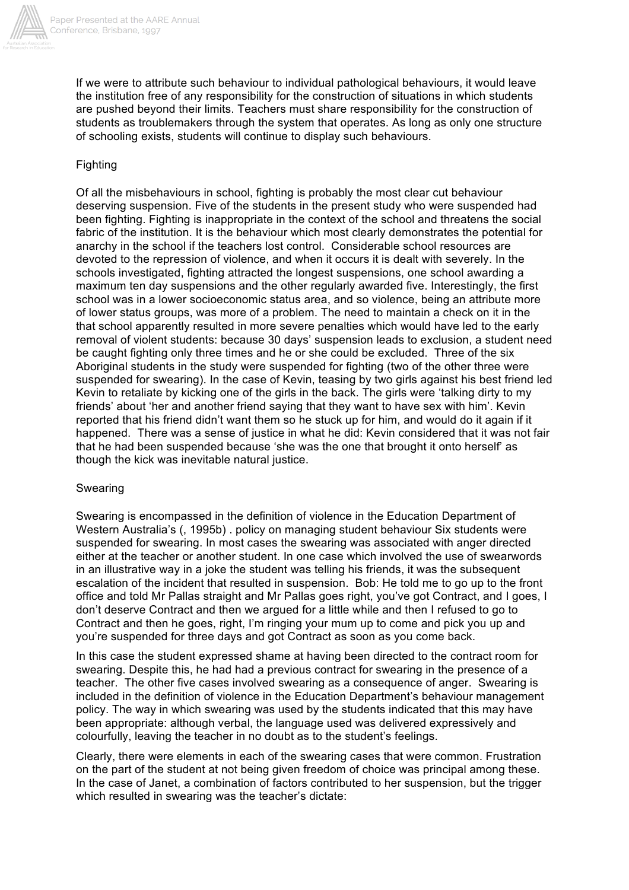

If we were to attribute such behaviour to individual pathological behaviours, it would leave the institution free of any responsibility for the construction of situations in which students are pushed beyond their limits. Teachers must share responsibility for the construction of students as troublemakers through the system that operates. As long as only one structure of schooling exists, students will continue to display such behaviours.

## Fighting

Of all the misbehaviours in school, fighting is probably the most clear cut behaviour deserving suspension. Five of the students in the present study who were suspended had been fighting. Fighting is inappropriate in the context of the school and threatens the social fabric of the institution. It is the behaviour which most clearly demonstrates the potential for anarchy in the school if the teachers lost control. Considerable school resources are devoted to the repression of violence, and when it occurs it is dealt with severely. In the schools investigated, fighting attracted the longest suspensions, one school awarding a maximum ten day suspensions and the other regularly awarded five. Interestingly, the first school was in a lower socioeconomic status area, and so violence, being an attribute more of lower status groups, was more of a problem. The need to maintain a check on it in the that school apparently resulted in more severe penalties which would have led to the early removal of violent students: because 30 days' suspension leads to exclusion, a student need be caught fighting only three times and he or she could be excluded. Three of the six Aboriginal students in the study were suspended for fighting (two of the other three were suspended for swearing). In the case of Kevin, teasing by two girls against his best friend led Kevin to retaliate by kicking one of the girls in the back. The girls were 'talking dirty to my friends' about 'her and another friend saying that they want to have sex with him'. Kevin reported that his friend didn't want them so he stuck up for him, and would do it again if it happened. There was a sense of justice in what he did: Kevin considered that it was not fair that he had been suspended because 'she was the one that brought it onto herself' as though the kick was inevitable natural justice.

## Swearing

Swearing is encompassed in the definition of violence in the Education Department of Western Australia's (, 1995b) . policy on managing student behaviour Six students were suspended for swearing. In most cases the swearing was associated with anger directed either at the teacher or another student. In one case which involved the use of swearwords in an illustrative way in a joke the student was telling his friends, it was the subsequent escalation of the incident that resulted in suspension. Bob: He told me to go up to the front office and told Mr Pallas straight and Mr Pallas goes right, you've got Contract, and I goes, I don't deserve Contract and then we argued for a little while and then I refused to go to Contract and then he goes, right, I'm ringing your mum up to come and pick you up and you're suspended for three days and got Contract as soon as you come back.

In this case the student expressed shame at having been directed to the contract room for swearing. Despite this, he had had a previous contract for swearing in the presence of a teacher. The other five cases involved swearing as a consequence of anger. Swearing is included in the definition of violence in the Education Department's behaviour management policy. The way in which swearing was used by the students indicated that this may have been appropriate: although verbal, the language used was delivered expressively and colourfully, leaving the teacher in no doubt as to the student's feelings.

Clearly, there were elements in each of the swearing cases that were common. Frustration on the part of the student at not being given freedom of choice was principal among these. In the case of Janet, a combination of factors contributed to her suspension, but the trigger which resulted in swearing was the teacher's dictate: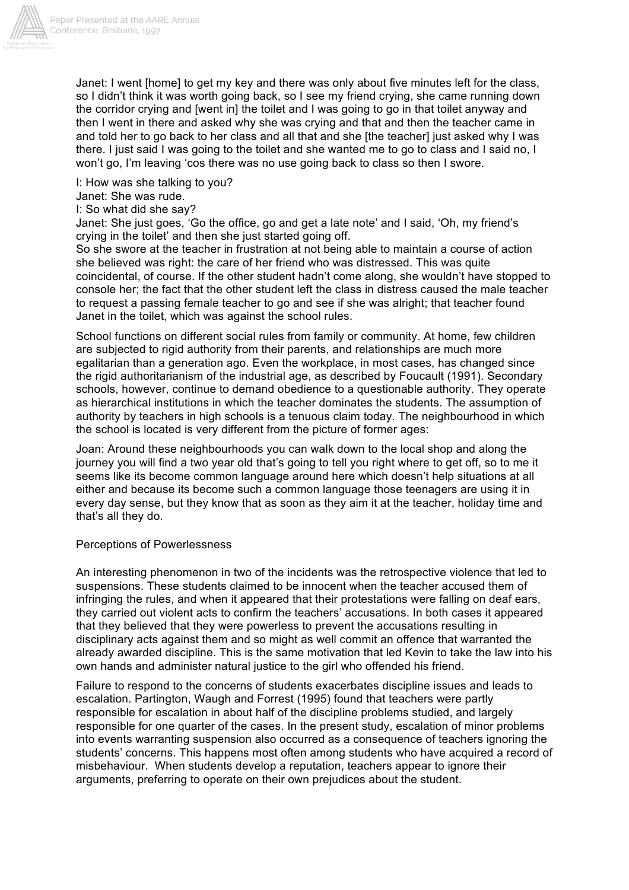

Janet: I went [home] to get my key and there was only about five minutes left for the class, so I didn't think it was worth going back, so I see my friend crying, she came running down the corridor crying and [went in] the toilet and I was going to go in that toilet anyway and then I went in there and asked why she was crying and that and then the teacher came in and told her to go back to her class and all that and she [the teacher] just asked why I was there. I just said I was going to the toilet and she wanted me to go to class and I said no, I won't go, I'm leaving 'cos there was no use going back to class so then I swore.

I: How was she talking to you?

Janet: She was rude.

I: So what did she say?

Janet: She just goes, 'Go the office, go and get a late note' and I said, 'Oh, my friend's crying in the toilet' and then she just started going off.

So she swore at the teacher in frustration at not being able to maintain a course of action she believed was right: the care of her friend who was distressed. This was quite coincidental, of course. If the other student hadn't come along, she wouldn't have stopped to console her; the fact that the other student left the class in distress caused the male teacher to request a passing female teacher to go and see if she was alright; that teacher found Janet in the toilet, which was against the school rules.

School functions on different social rules from family or community. At home, few children are subjected to rigid authority from their parents, and relationships are much more egalitarian than a generation ago. Even the workplace, in most cases, has changed since the rigid authoritarianism of the industrial age, as described by Foucault (1991). Secondary schools, however, continue to demand obedience to a questionable authority. They operate as hierarchical institutions in which the teacher dominates the students. The assumption of authority by teachers in high schools is a tenuous claim today. The neighbourhood in which the school is located is very different from the picture of former ages:

Joan: Around these neighbourhoods you can walk down to the local shop and along the journey you will find a two year old that's going to tell you right where to get off, so to me it seems like its become common language around here which doesn't help situations at all either and because its become such a common language those teenagers are using it in every day sense, but they know that as soon as they aim it at the teacher, holiday time and that's all they do.

### Perceptions of Powerlessness

An interesting phenomenon in two of the incidents was the retrospective violence that led to suspensions. These students claimed to be innocent when the teacher accused them of infringing the rules, and when it appeared that their protestations were falling on deaf ears, they carried out violent acts to confirm the teachers' accusations. In both cases it appeared that they believed that they were powerless to prevent the accusations resulting in disciplinary acts against them and so might as well commit an offence that warranted the already awarded discipline. This is the same motivation that led Kevin to take the law into his own hands and administer natural justice to the girl who offended his friend.

Failure to respond to the concerns of students exacerbates discipline issues and leads to escalation. Partington, Waugh and Forrest (1995) found that teachers were partly responsible for escalation in about half of the discipline problems studied, and largely responsible for one quarter of the cases. In the present study, escalation of minor problems into events warranting suspension also occurred as a consequence of teachers ignoring the students' concerns. This happens most often among students who have acquired a record of misbehaviour. When students develop a reputation, teachers appear to ignore their arguments, preferring to operate on their own prejudices about the student.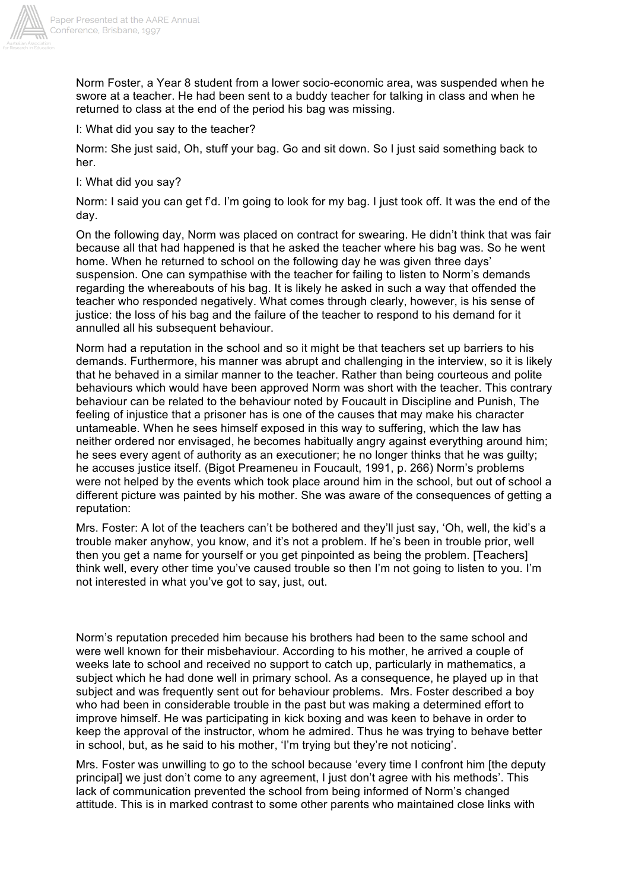

Norm Foster, a Year 8 student from a lower socio-economic area, was suspended when he swore at a teacher. He had been sent to a buddy teacher for talking in class and when he returned to class at the end of the period his bag was missing.

I: What did you say to the teacher?

Norm: She just said, Oh, stuff your bag. Go and sit down. So I just said something back to her.

I: What did you say?

Norm: I said you can get f'd. I'm going to look for my bag. I just took off. It was the end of the day.

On the following day, Norm was placed on contract for swearing. He didn't think that was fair because all that had happened is that he asked the teacher where his bag was. So he went home. When he returned to school on the following day he was given three days' suspension. One can sympathise with the teacher for failing to listen to Norm's demands regarding the whereabouts of his bag. It is likely he asked in such a way that offended the teacher who responded negatively. What comes through clearly, however, is his sense of justice: the loss of his bag and the failure of the teacher to respond to his demand for it annulled all his subsequent behaviour.

Norm had a reputation in the school and so it might be that teachers set up barriers to his demands. Furthermore, his manner was abrupt and challenging in the interview, so it is likely that he behaved in a similar manner to the teacher. Rather than being courteous and polite behaviours which would have been approved Norm was short with the teacher. This contrary behaviour can be related to the behaviour noted by Foucault in Discipline and Punish, The feeling of injustice that a prisoner has is one of the causes that may make his character untameable. When he sees himself exposed in this way to suffering, which the law has neither ordered nor envisaged, he becomes habitually angry against everything around him; he sees every agent of authority as an executioner; he no longer thinks that he was guilty; he accuses justice itself. (Bigot Preameneu in Foucault, 1991, p. 266) Norm's problems were not helped by the events which took place around him in the school, but out of school a different picture was painted by his mother. She was aware of the consequences of getting a reputation:

Mrs. Foster: A lot of the teachers can't be bothered and they'll just say, 'Oh, well, the kid's a trouble maker anyhow, you know, and it's not a problem. If he's been in trouble prior, well then you get a name for yourself or you get pinpointed as being the problem. [Teachers] think well, every other time you've caused trouble so then I'm not going to listen to you. I'm not interested in what you've got to say, just, out.

Norm's reputation preceded him because his brothers had been to the same school and were well known for their misbehaviour. According to his mother, he arrived a couple of weeks late to school and received no support to catch up, particularly in mathematics, a subject which he had done well in primary school. As a consequence, he played up in that subject and was frequently sent out for behaviour problems. Mrs. Foster described a boy who had been in considerable trouble in the past but was making a determined effort to improve himself. He was participating in kick boxing and was keen to behave in order to keep the approval of the instructor, whom he admired. Thus he was trying to behave better in school, but, as he said to his mother, 'I'm trying but they're not noticing'.

Mrs. Foster was unwilling to go to the school because 'every time I confront him [the deputy principal] we just don't come to any agreement, I just don't agree with his methods'. This lack of communication prevented the school from being informed of Norm's changed attitude. This is in marked contrast to some other parents who maintained close links with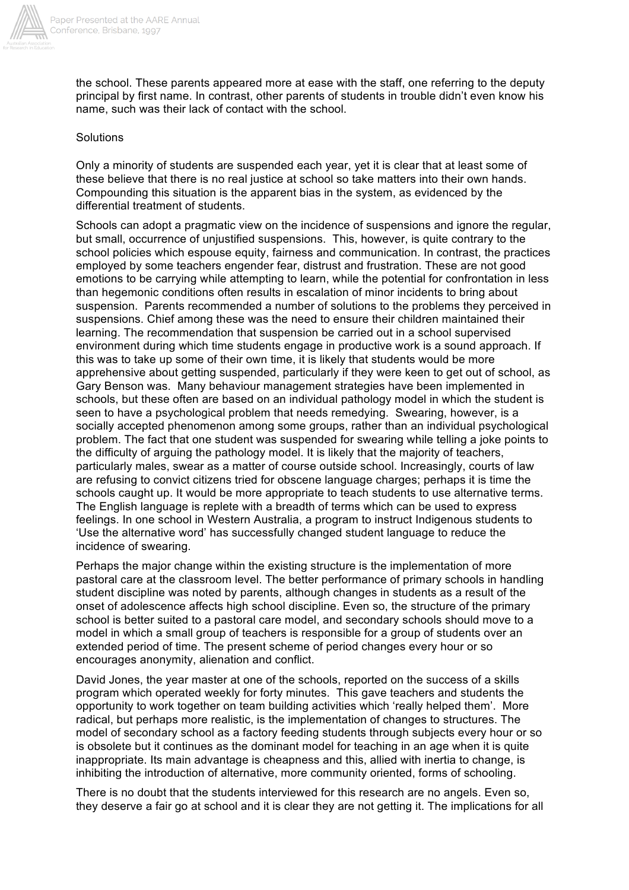

the school. These parents appeared more at ease with the staff, one referring to the deputy principal by first name. In contrast, other parents of students in trouble didn't even know his name, such was their lack of contact with the school.

## Solutions

Only a minority of students are suspended each year, yet it is clear that at least some of these believe that there is no real justice at school so take matters into their own hands. Compounding this situation is the apparent bias in the system, as evidenced by the differential treatment of students.

Schools can adopt a pragmatic view on the incidence of suspensions and ignore the regular, but small, occurrence of unjustified suspensions. This, however, is quite contrary to the school policies which espouse equity, fairness and communication. In contrast, the practices employed by some teachers engender fear, distrust and frustration. These are not good emotions to be carrying while attempting to learn, while the potential for confrontation in less than hegemonic conditions often results in escalation of minor incidents to bring about suspension. Parents recommended a number of solutions to the problems they perceived in suspensions. Chief among these was the need to ensure their children maintained their learning. The recommendation that suspension be carried out in a school supervised environment during which time students engage in productive work is a sound approach. If this was to take up some of their own time, it is likely that students would be more apprehensive about getting suspended, particularly if they were keen to get out of school, as Gary Benson was. Many behaviour management strategies have been implemented in schools, but these often are based on an individual pathology model in which the student is seen to have a psychological problem that needs remedying. Swearing, however, is a socially accepted phenomenon among some groups, rather than an individual psychological problem. The fact that one student was suspended for swearing while telling a joke points to the difficulty of arguing the pathology model. It is likely that the majority of teachers, particularly males, swear as a matter of course outside school. Increasingly, courts of law are refusing to convict citizens tried for obscene language charges; perhaps it is time the schools caught up. It would be more appropriate to teach students to use alternative terms. The English language is replete with a breadth of terms which can be used to express feelings. In one school in Western Australia, a program to instruct Indigenous students to 'Use the alternative word' has successfully changed student language to reduce the incidence of swearing.

Perhaps the major change within the existing structure is the implementation of more pastoral care at the classroom level. The better performance of primary schools in handling student discipline was noted by parents, although changes in students as a result of the onset of adolescence affects high school discipline. Even so, the structure of the primary school is better suited to a pastoral care model, and secondary schools should move to a model in which a small group of teachers is responsible for a group of students over an extended period of time. The present scheme of period changes every hour or so encourages anonymity, alienation and conflict.

David Jones, the year master at one of the schools, reported on the success of a skills program which operated weekly for forty minutes. This gave teachers and students the opportunity to work together on team building activities which 'really helped them'. More radical, but perhaps more realistic, is the implementation of changes to structures. The model of secondary school as a factory feeding students through subjects every hour or so is obsolete but it continues as the dominant model for teaching in an age when it is quite inappropriate. Its main advantage is cheapness and this, allied with inertia to change, is inhibiting the introduction of alternative, more community oriented, forms of schooling.

There is no doubt that the students interviewed for this research are no angels. Even so, they deserve a fair go at school and it is clear they are not getting it. The implications for all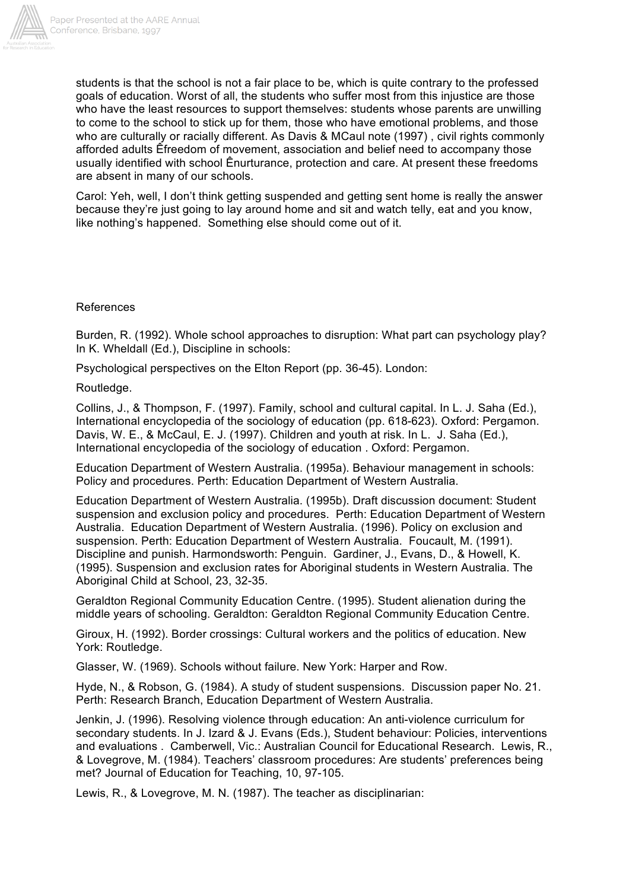

students is that the school is not a fair place to be, which is quite contrary to the professed goals of education. Worst of all, the students who suffer most from this injustice are those who have the least resources to support themselves: students whose parents are unwilling to come to the school to stick up for them, those who have emotional problems, and those who are culturally or racially different. As Davis & MCaul note (1997) , civil rights commonly afforded adults Êfreedom of movement, association and belief need to accompany those usually identified with school Ênurturance, protection and care. At present these freedoms are absent in many of our schools.

Carol: Yeh, well, I don't think getting suspended and getting sent home is really the answer because they're just going to lay around home and sit and watch telly, eat and you know, like nothing's happened. Something else should come out of it.

## References

Burden, R. (1992). Whole school approaches to disruption: What part can psychology play? In K. Wheldall (Ed.), Discipline in schools:

Psychological perspectives on the Elton Report (pp. 36-45). London:

Routledge.

Collins, J., & Thompson, F. (1997). Family, school and cultural capital. In L. J. Saha (Ed.), International encyclopedia of the sociology of education (pp. 618-623). Oxford: Pergamon. Davis, W. E., & McCaul, E. J. (1997). Children and youth at risk. In L. J. Saha (Ed.), International encyclopedia of the sociology of education . Oxford: Pergamon.

Education Department of Western Australia. (1995a). Behaviour management in schools: Policy and procedures. Perth: Education Department of Western Australia.

Education Department of Western Australia. (1995b). Draft discussion document: Student suspension and exclusion policy and procedures. Perth: Education Department of Western Australia. Education Department of Western Australia. (1996). Policy on exclusion and suspension. Perth: Education Department of Western Australia. Foucault, M. (1991). Discipline and punish. Harmondsworth: Penguin. Gardiner, J., Evans, D., & Howell, K. (1995). Suspension and exclusion rates for Aboriginal students in Western Australia. The Aboriginal Child at School, 23, 32-35.

Geraldton Regional Community Education Centre. (1995). Student alienation during the middle years of schooling. Geraldton: Geraldton Regional Community Education Centre.

Giroux, H. (1992). Border crossings: Cultural workers and the politics of education. New York: Routledge.

Glasser, W. (1969). Schools without failure. New York: Harper and Row.

Hyde, N., & Robson, G. (1984). A study of student suspensions. Discussion paper No. 21. Perth: Research Branch, Education Department of Western Australia.

Jenkin, J. (1996). Resolving violence through education: An anti-violence curriculum for secondary students. In J. Izard & J. Evans (Eds.), Student behaviour: Policies, interventions and evaluations . Camberwell, Vic.: Australian Council for Educational Research. Lewis, R., & Lovegrove, M. (1984). Teachers' classroom procedures: Are students' preferences being met? Journal of Education for Teaching, 10, 97-105.

Lewis, R., & Lovegrove, M. N. (1987). The teacher as disciplinarian: